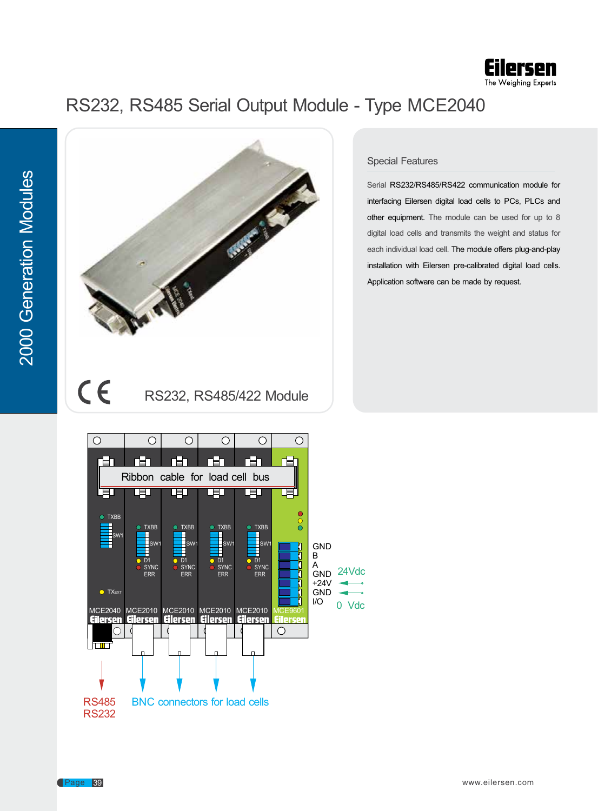

## RS232, RS485 Serial Output Module - Type MCE2040



## Special Features

Serial RS232/RS485/RS422 communication module for interfacing Eilersen digital load cells to PCs, PLCs and other equipment. The module can be used for up to 8 digital load cells and transmits the weight and status for each individual load cell. The module offers plug-and-play installation with Eilersen pre-calibrated digital load cells. Application software can be made by request.

CE RS232, RS485/422 Module